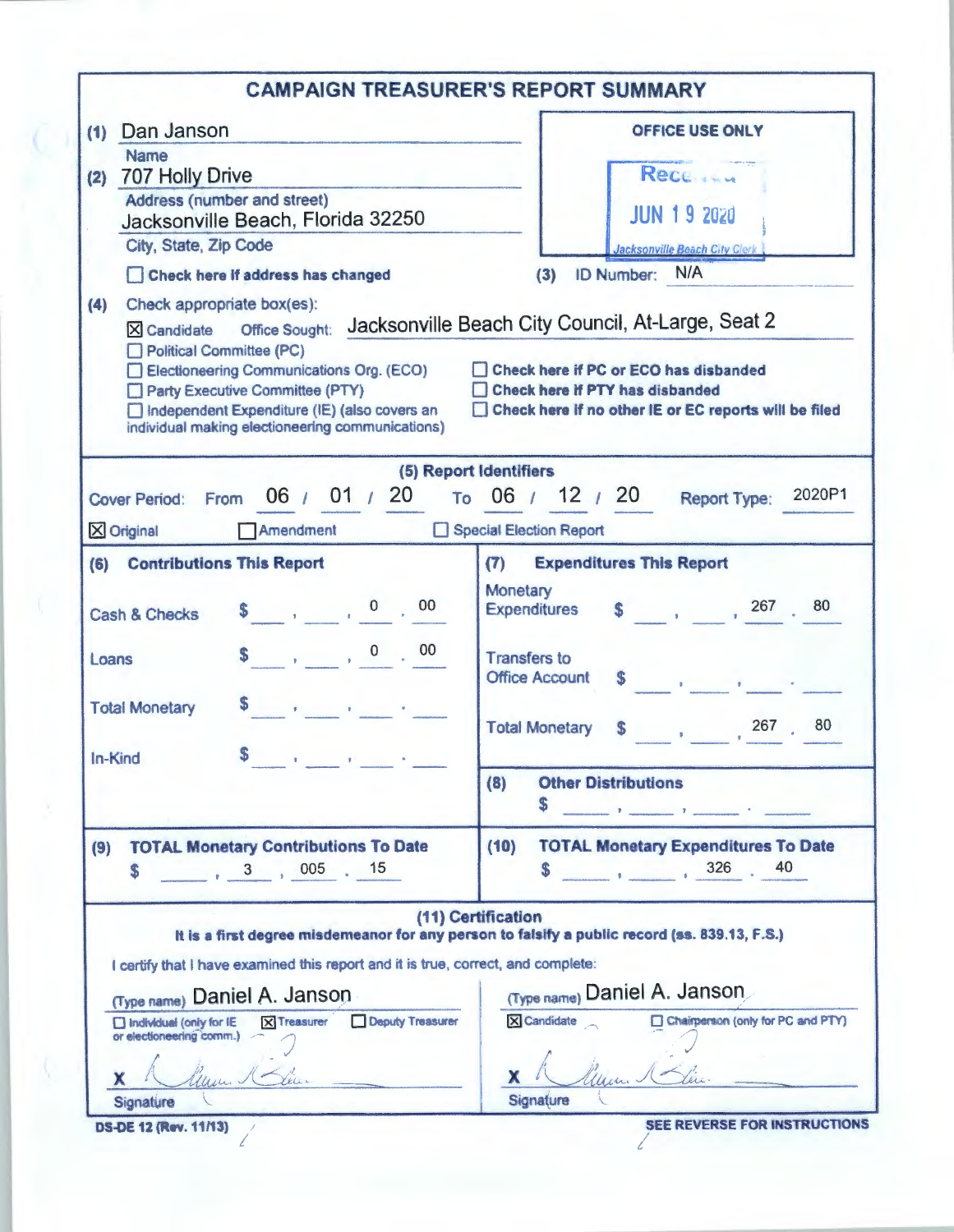| (1) Dan Janson                                                                                                            | <b>OFFICE USE ONLY</b>                                                                                              |  |  |  |
|---------------------------------------------------------------------------------------------------------------------------|---------------------------------------------------------------------------------------------------------------------|--|--|--|
| <b>Name</b><br>707 Holly Drive<br>(2)                                                                                     | Rece                                                                                                                |  |  |  |
| Address (number and street)                                                                                               |                                                                                                                     |  |  |  |
| Jacksonville Beach, Florida 32250                                                                                         | <b>JUN 19 2020</b>                                                                                                  |  |  |  |
| City, State, Zip Code                                                                                                     | Jacksonville Beach City Clerk<br>ID Number: N/A<br>(3)                                                              |  |  |  |
| Check here if address has changed                                                                                         |                                                                                                                     |  |  |  |
| Check appropriate box(es):<br>(4)                                                                                         |                                                                                                                     |  |  |  |
| X Candidate Office Sought: Jacksonville Beach City Council, At-Large, Seat 2                                              |                                                                                                                     |  |  |  |
| Political Committee (PC)<br>Electioneering Communications Org. (ECO)                                                      | Check here if PC or ECO has disbanded                                                                               |  |  |  |
| Party Executive Committee (PTY)                                                                                           | Check here if PTY has disbanded                                                                                     |  |  |  |
| Independent Expenditure (IE) (also covers an<br>individual making electioneering communications)                          | Check here if no other IE or EC reports will be filed                                                               |  |  |  |
|                                                                                                                           |                                                                                                                     |  |  |  |
|                                                                                                                           | (5) Report Identifiers                                                                                              |  |  |  |
| 06 $/$ 01 $/$ 20 To 06 $/$ 12 $/$ 20<br>Cover Period: From                                                                | 2020P1<br><b>Report Type:</b>                                                                                       |  |  |  |
| Amendment<br>$\times$ Original                                                                                            | Special Election Report                                                                                             |  |  |  |
| (6) Contributions This Report                                                                                             | <b>Expenditures This Report</b><br>(7)                                                                              |  |  |  |
|                                                                                                                           | <b>Monetary</b>                                                                                                     |  |  |  |
| Cash & Checks                                                                                                             | $\frac{1}{20}$ , $\frac{1}{207}$ , 80<br><b>Expenditures</b>                                                        |  |  |  |
| $\begin{array}{ccccccccc}\n\textbf{\$} & & & & \textbf{0} & & \textbf{0} & \textbf{0} & \textbf{0}\n\end{array}$<br>Loans | <b>Transfers to</b>                                                                                                 |  |  |  |
|                                                                                                                           | <b>Office Account</b><br>the contract of the contract of                                                            |  |  |  |
| <b>Total Monetary</b>                                                                                                     |                                                                                                                     |  |  |  |
|                                                                                                                           | 80<br><b>Total Monetary</b><br>$\sim$ 267.<br>S                                                                     |  |  |  |
| S<br>In-Kind<br>$\sim 10$<br>$\mathbf{F}^{\mathrm{H}}$ and $\mathbf{F}^{\mathrm{H}}$<br>$\sim$                            |                                                                                                                     |  |  |  |
|                                                                                                                           | <b>Other Distributions</b><br>(8)                                                                                   |  |  |  |
|                                                                                                                           | 5<br>and the contract of the contract of the                                                                        |  |  |  |
| <b>TOTAL Monetary Contributions To Date</b><br>(9)                                                                        | <b>TOTAL Monetary Expenditures To Date</b><br>(10)                                                                  |  |  |  |
| S                                                                                                                         | 40<br>326<br>the contract of the con-                                                                               |  |  |  |
|                                                                                                                           |                                                                                                                     |  |  |  |
|                                                                                                                           | (11) Certification<br>It is a first degree misdemeanor for any person to falsify a public record (ss. 839.13, F.S.) |  |  |  |
| I certify that I have examined this report and it is true, correct, and complete:                                         |                                                                                                                     |  |  |  |
|                                                                                                                           | (Type name) Daniel A. Janson                                                                                        |  |  |  |
| (Type name) Daniel A. Janson<br>Deputy Treasurer                                                                          | X Candidate<br>Chairperson (only for PC and PTY)                                                                    |  |  |  |
| <b>X</b> Treasurer<br>$\Box$ Individual (only for IE<br>or electioneering comm.)                                          |                                                                                                                     |  |  |  |
|                                                                                                                           |                                                                                                                     |  |  |  |
| х                                                                                                                         | x                                                                                                                   |  |  |  |
| Signature                                                                                                                 | Signature                                                                                                           |  |  |  |